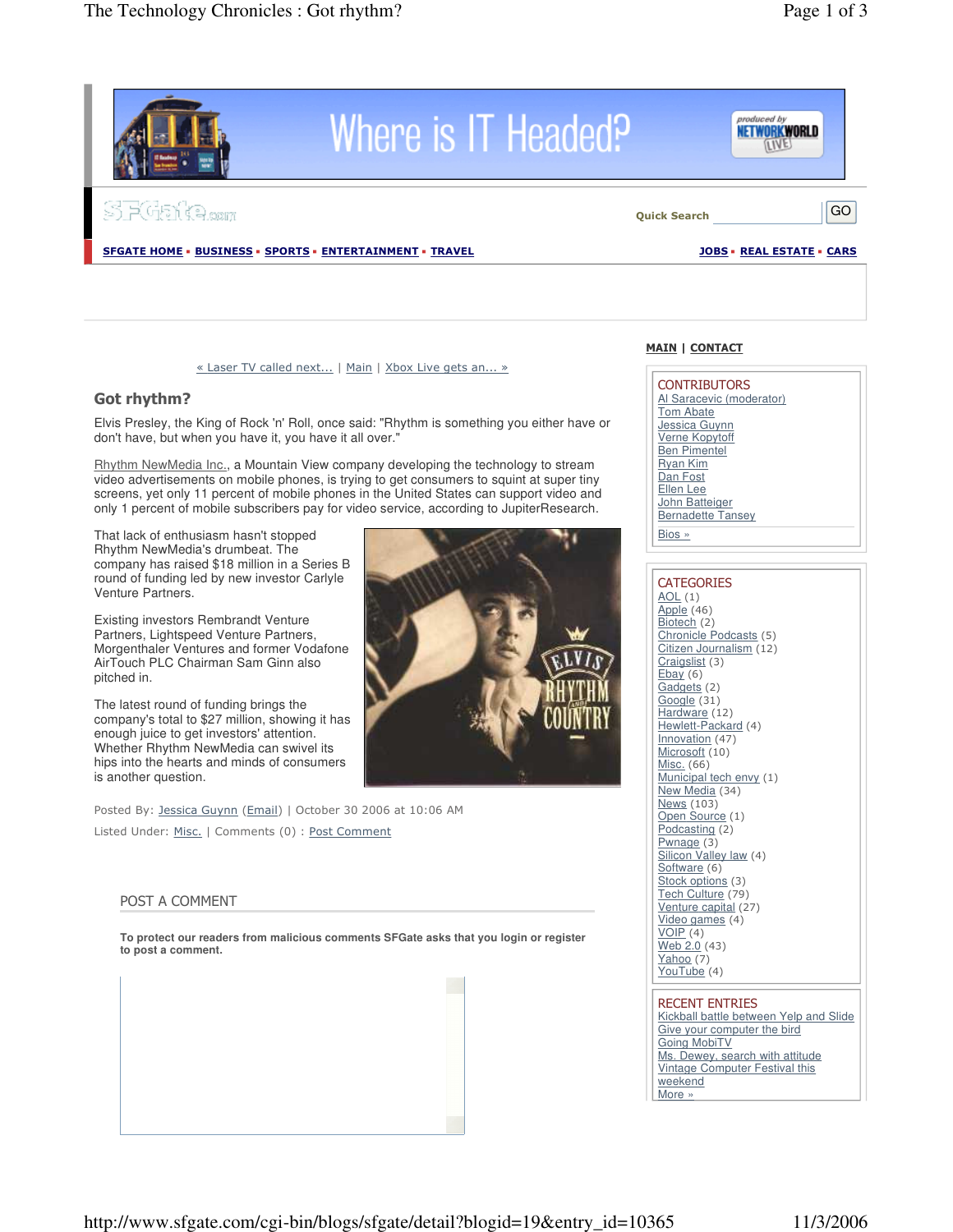

#### « Laser TV called next... | Main | Xbox Live gets an... »

## Got rhythm?

Elvis Presley, the King of Rock 'n' Roll, once said: "Rhythm is something you either have or don't have, but when you have it, you have it all over."

Rhythm NewMedia Inc., a Mountain View company developing the technology to stream video advertisements on mobile phones, is trying to get consumers to squint at super tiny screens, yet only 11 percent of mobile phones in the United States can support video and only 1 percent of mobile subscribers pay for video service, according to JupiterResearch.

That lack of enthusiasm hasn't stopped Rhythm NewMedia's drumbeat. The company has raised \$18 million in a Series B round of funding led by new investor Carlyle Venture Partners.

Existing investors Rembrandt Venture Partners, Lightspeed Venture Partners, Morgenthaler Ventures and former Vodafone AirTouch PLC Chairman Sam Ginn also pitched in.

The latest round of funding brings the company's total to \$27 million, showing it has enough juice to get investors' attention. Whether Rhythm NewMedia can swivel its hips into the hearts and minds of consumers is another question.

Posted By: <u>Jessica Guynn</u> (<u>Email</u>) | October 30 2006 at 10:06 AM Listed Under: <u>Misc.</u> | Comments (0) : <u>Post Comment</u>

### POST A COMMENT

**To protect our readers from malicious comments SFGate asks that you login or register to post a comment.**



## <u> MAIN | CONTACT</u>

CONTRIBUTORS Al Saracevic (moderator) Tom Abate Jessica Guynn Verne Kopytoff Ben Pimentel Ryan Kim Dan Fost Ellen Lee John Batteiger Bernadette Tansey Bios »

#### CATEGORIES  $AOL(1)$ Apple (46) Biotech (2) Chronicle Podcasts (5)  $Citizen Journalism (12)$ Craigslist (3)  $Ebay (6)$ Gadgets (2)  $Google(31)$  $Hardware(12)$ Hewlett-Packard (4)  $Innovation (47)$  $Microsoft (10)$ Misc. (66) Municipal tech envy (1) New Media (34) News (103) Open Source (1)  $Podcasting (2)$  $Pwnage(3)$ Silicon Valley law (4) Software (6) Stock options (3) Tech Culture (79) Venture capital (27)  $Video$  games  $(4)$  $VOIP(4)$  $Web 2.0 (43)$  $Yahoo (7)$ YouTube (4)

# **RECENT ENTRIES**

Kickball battle between Yelp and Slide Give your computer the bird Going MobiTV Ms. Dewey, search with attitude Vintage Computer Festival this weekend More »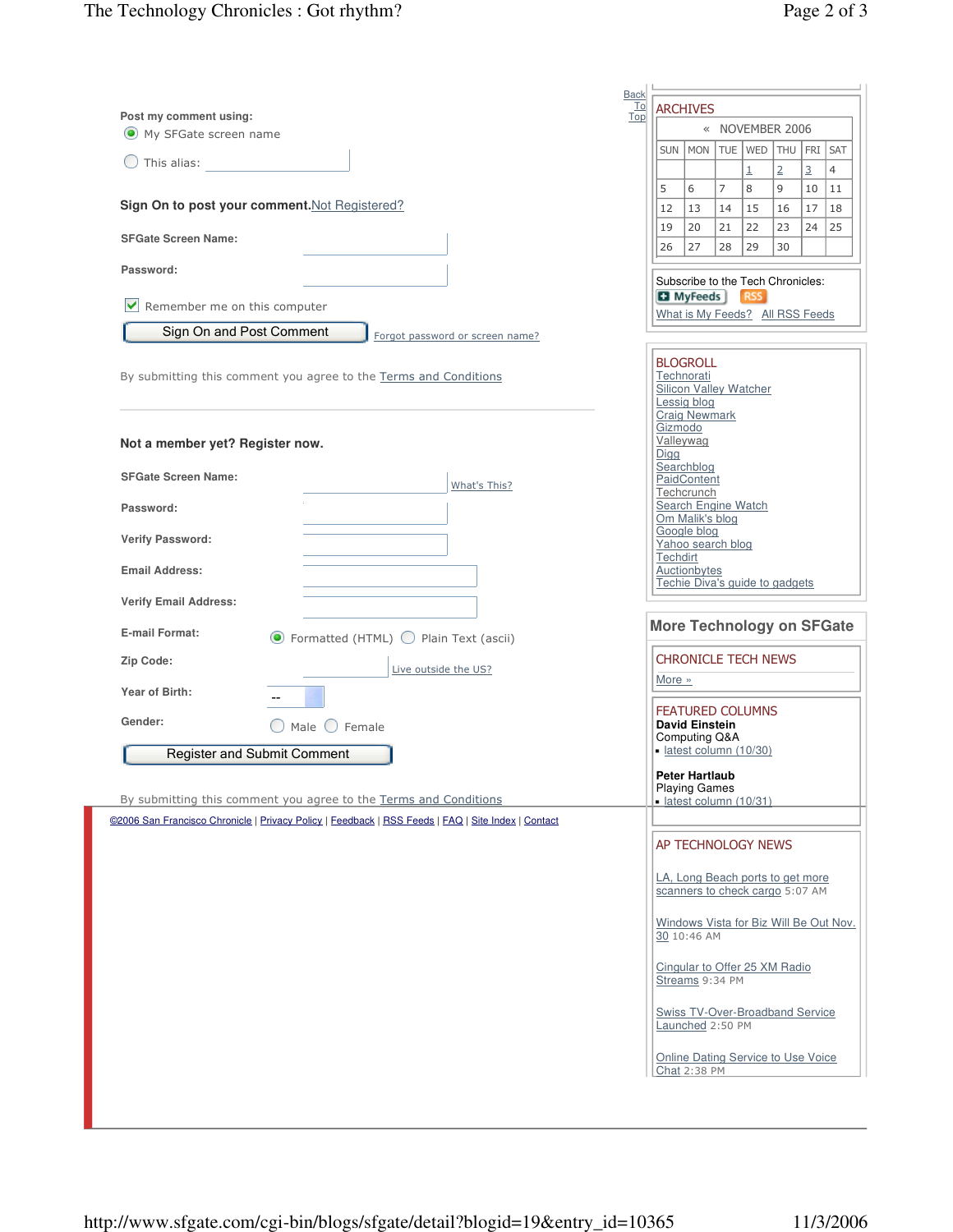| <b>Back</b>                                                                                        |    |                              |                                                                                                |                |                     |                     |                      |                      |
|----------------------------------------------------------------------------------------------------|----|------------------------------|------------------------------------------------------------------------------------------------|----------------|---------------------|---------------------|----------------------|----------------------|
| Post my comment using:<br>Top                                                                      | To |                              | <b>ARCHIVES</b>                                                                                |                |                     |                     |                      |                      |
| $\left( \bullet \right)$<br>My SFGate screen name                                                  |    |                              |                                                                                                |                |                     | « NOVEMBER 2006     |                      |                      |
| This alias:                                                                                        |    | <b>SUN</b>                   | <b>MON</b>                                                                                     | <b>TUE</b>     | WED                 | THU FRI             |                      | SAT                  |
|                                                                                                    |    | 5                            | 6                                                                                              | $\overline{7}$ | $\overline{1}$<br>8 | $\overline{2}$<br>9 | $\overline{3}$<br>10 | $\overline{4}$<br>11 |
| Sign On to post your comment. Not Registered?                                                      |    | 12                           | 13                                                                                             | 14             | 15                  | 16                  | 17                   | 18                   |
| <b>SFGate Screen Name:</b>                                                                         |    | 19                           | 20                                                                                             | 21             | 22                  | 23                  | 24                   | 25                   |
|                                                                                                    |    | 26                           | 27                                                                                             | 28             | 29                  | 30                  |                      |                      |
| Password:                                                                                          |    |                              | Subscribe to the Tech Chronicles:                                                              |                |                     |                     |                      |                      |
| $\blacktriangledown$<br>Remember me on this computer                                               |    |                              | <b>Ed</b> MyFeeds                                                                              |                | RSS                 |                     |                      |                      |
| Sign On and Post Comment                                                                           |    |                              | What is My Feeds? All RSS Feeds                                                                |                |                     |                     |                      |                      |
| Forgot password or screen name?                                                                    |    |                              |                                                                                                |                |                     |                     |                      |                      |
| By submitting this comment you agree to the Terms and Conditions                                   |    |                              | <b>BLOGROLL</b><br>Technorati<br>Silicon Valley Watcher<br>Lessig blog<br><b>Craig Newmark</b> |                |                     |                     |                      |                      |
| Not a member yet? Register now.                                                                    |    | Gizmodo<br>Valleywag<br>Digg |                                                                                                |                |                     |                     |                      |                      |
| <b>SFGate Screen Name:</b><br>What's This?                                                         |    |                              | Searchblog<br>PaidContent                                                                      |                |                     |                     |                      |                      |
| Password:                                                                                          |    |                              | Techcrunch<br>Search Engine Watch                                                              |                |                     |                     |                      |                      |
|                                                                                                    |    |                              | Om Malik's blog<br>Google blog                                                                 |                |                     |                     |                      |                      |
|                                                                                                    |    | Yahoo search blog            |                                                                                                |                |                     |                     |                      |                      |
| <b>Verify Password:</b>                                                                            |    | Techdirt                     |                                                                                                |                |                     |                     |                      |                      |
| <b>Email Address:</b>                                                                              |    |                              | Auctionbytes                                                                                   |                |                     |                     |                      |                      |
| <b>Verify Email Address:</b>                                                                       |    |                              | Techie Diva's guide to gadgets                                                                 |                |                     |                     |                      |                      |
| <b>E-mail Format:</b><br>$\odot$ Formatted (HTML) $\bigcirc$ Plain Text (ascii)                    |    |                              | <b>More Technology on SFGate</b>                                                               |                |                     |                     |                      |                      |
| Zip Code:<br>Live outside the US?                                                                  |    |                              | <b>CHRONICLE TECH NEWS</b>                                                                     |                |                     |                     |                      |                      |
| Year of Birth:                                                                                     |    | More »                       |                                                                                                |                |                     |                     |                      |                      |
|                                                                                                    |    |                              | <b>FEATURED COLUMNS</b>                                                                        |                |                     |                     |                      |                      |
| Gender:<br>() Male () Female                                                                       |    |                              | <b>David Einstein</b><br>Computing Q&A                                                         |                |                     |                     |                      |                      |
| <b>Register and Submit Comment</b>                                                                 |    |                              | · latest column (10/30)                                                                        |                |                     |                     |                      |                      |
|                                                                                                    |    |                              | <b>Peter Hartlaub</b><br><b>Playing Games</b>                                                  |                |                     |                     |                      |                      |
| By submitting this comment you agree to the Terms and Conditions                                   |    |                              | · latest column (10/31)                                                                        |                |                     |                     |                      |                      |
| @2006 San Francisco Chronicle   Privacy Policy   Feedback   RSS Feeds   FAQ   Site Index   Contact |    |                              |                                                                                                |                |                     |                     |                      |                      |
|                                                                                                    |    |                              | AP TECHNOLOGY NEWS                                                                             |                |                     |                     |                      |                      |
|                                                                                                    |    |                              | LA, Long Beach ports to get more<br>scanners to check cargo 5:07 AM                            |                |                     |                     |                      |                      |
|                                                                                                    |    |                              | Windows Vista for Biz Will Be Out Nov.<br>30 10:46 AM                                          |                |                     |                     |                      |                      |
|                                                                                                    |    |                              | Cingular to Offer 25 XM Radio<br>Streams 9:34 PM                                               |                |                     |                     |                      |                      |
|                                                                                                    |    |                              | <b>Swiss TV-Over-Broadband Service</b><br>Launched 2:50 PM                                     |                |                     |                     |                      |                      |